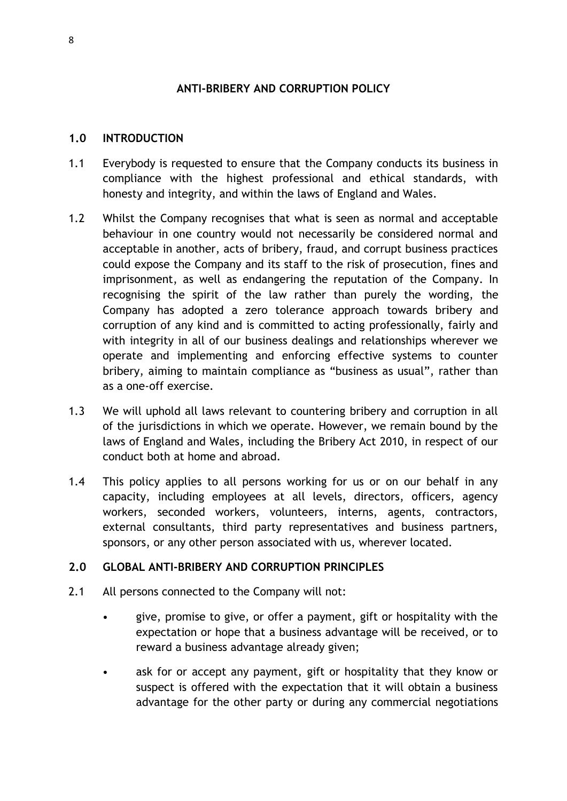### **ANTI-BRIBERY AND CORRUPTION POLICY**

#### **1.0 INTRODUCTION**

- 1.1 Everybody is requested to ensure that the Company conducts its business in compliance with the highest professional and ethical standards, with honesty and integrity, and within the laws of England and Wales.
- 1.2 Whilst the Company recognises that what is seen as normal and acceptable behaviour in one country would not necessarily be considered normal and acceptable in another, acts of bribery, fraud, and corrupt business practices could expose the Company and its staff to the risk of prosecution, fines and imprisonment, as well as endangering the reputation of the Company. In recognising the spirit of the law rather than purely the wording, the Company has adopted a zero tolerance approach towards bribery and corruption of any kind and is committed to acting professionally, fairly and with integrity in all of our business dealings and relationships wherever we operate and implementing and enforcing effective systems to counter bribery, aiming to maintain compliance as "business as usual", rather than as a one-off exercise.
- 1.3 We will uphold all laws relevant to countering bribery and corruption in all of the jurisdictions in which we operate. However, we remain bound by the laws of England and Wales, including the Bribery Act 2010, in respect of our conduct both at home and abroad.
- 1.4 This policy applies to all persons working for us or on our behalf in any capacity, including employees at all levels, directors, officers, agency workers, seconded workers, volunteers, interns, agents, contractors, external consultants, third party representatives and business partners, sponsors, or any other person associated with us, wherever located.

#### **2.0 GLOBAL ANTI-BRIBERY AND CORRUPTION PRINCIPLES**

- 2.1 All persons connected to the Company will not:
	- give, promise to give, or offer a payment, gift or hospitality with the expectation or hope that a business advantage will be received, or to reward a business advantage already given;
	- ask for or accept any payment, gift or hospitality that they know or suspect is offered with the expectation that it will obtain a business advantage for the other party or during any commercial negotiations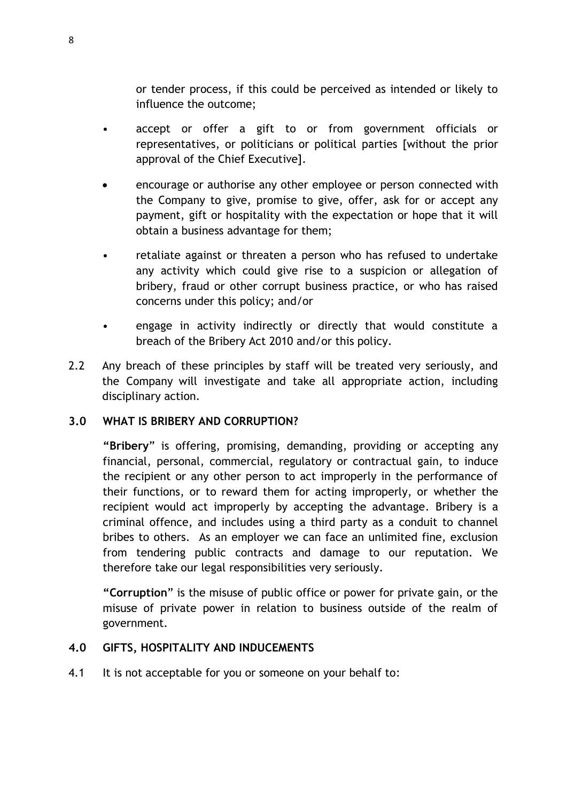or tender process, if this could be perceived as intended or likely to influence the outcome;

- accept or offer a gift to or from government officials or representatives, or politicians or political parties [without the prior approval of the Chief Executive].
- encourage or authorise any other employee or person connected with the Company to give, promise to give, offer, ask for or accept any payment, gift or hospitality with the expectation or hope that it will obtain a business advantage for them;
- retaliate against or threaten a person who has refused to undertake any activity which could give rise to a suspicion or allegation of bribery, fraud or other corrupt business practice, or who has raised concerns under this policy; and/or
- engage in activity indirectly or directly that would constitute a breach of the Bribery Act 2010 and/or this policy.
- 2.2 Any breach of these principles by staff will be treated very seriously, and the Company will investigate and take all appropriate action, including disciplinary action.

# **3.0 WHAT IS BRIBERY AND CORRUPTION?**

**"Bribery**" is offering, promising, demanding, providing or accepting any financial, personal, commercial, regulatory or contractual gain, to induce the recipient or any other person to act improperly in the performance of their functions, or to reward them for acting improperly, or whether the recipient would act improperly by accepting the advantage. Bribery is a criminal offence, and includes using a third party as a conduit to channel bribes to others. As an employer we can face an unlimited fine, exclusion from tendering public contracts and damage to our reputation. We therefore take our legal responsibilities very seriously.

**"Corruption**" is the misuse of public office or power for private gain, or the misuse of private power in relation to business outside of the realm of government.

#### **4.0 GIFTS, HOSPITALITY AND INDUCEMENTS**

4.1 It is not acceptable for you or someone on your behalf to: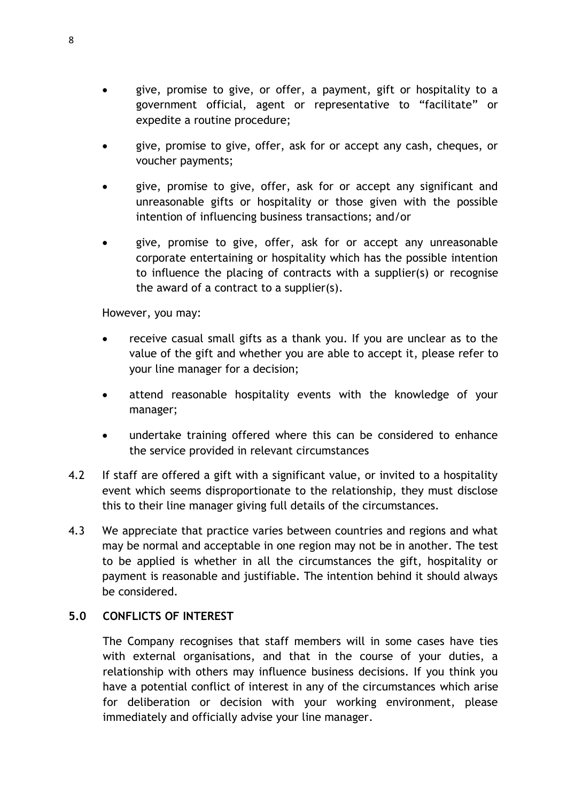- give, promise to give, or offer, a payment, gift or hospitality to a government official, agent or representative to "facilitate" or expedite a routine procedure;
- give, promise to give, offer, ask for or accept any cash, cheques, or voucher payments;
- give, promise to give, offer, ask for or accept any significant and unreasonable gifts or hospitality or those given with the possible intention of influencing business transactions; and/or
- give, promise to give, offer, ask for or accept any unreasonable corporate entertaining or hospitality which has the possible intention to influence the placing of contracts with a supplier(s) or recognise the award of a contract to a supplier(s).

However, you may:

- receive casual small gifts as a thank you. If you are unclear as to the value of the gift and whether you are able to accept it, please refer to your line manager for a decision;
- attend reasonable hospitality events with the knowledge of your manager;
- undertake training offered where this can be considered to enhance the service provided in relevant circumstances
- 4.2 If staff are offered a gift with a significant value, or invited to a hospitality event which seems disproportionate to the relationship, they must disclose this to their line manager giving full details of the circumstances.
- 4.3 We appreciate that practice varies between countries and regions and what may be normal and acceptable in one region may not be in another. The test to be applied is whether in all the circumstances the gift, hospitality or payment is reasonable and justifiable. The intention behind it should always be considered.

# **5.0 CONFLICTS OF INTEREST**

The Company recognises that staff members will in some cases have ties with external organisations, and that in the course of your duties, a relationship with others may influence business decisions. If you think you have a potential conflict of interest in any of the circumstances which arise for deliberation or decision with your working environment, please immediately and officially advise your line manager.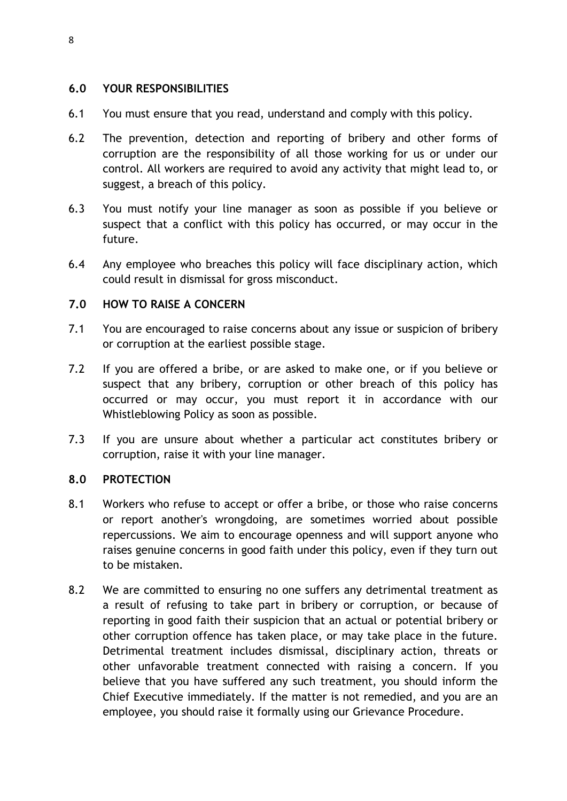### **6.0 YOUR RESPONSIBILITIES**

- 6.1 You must ensure that you read, understand and comply with this policy.
- 6.2 The prevention, detection and reporting of bribery and other forms of corruption are the responsibility of all those working for us or under our control. All workers are required to avoid any activity that might lead to, or suggest, a breach of this policy.
- 6.3 You must notify your line manager as soon as possible if you believe or suspect that a conflict with this policy has occurred, or may occur in the future.
- 6.4 Any employee who breaches this policy will face disciplinary action, which could result in dismissal for gross misconduct.

### **7.0 HOW TO RAISE A CONCERN**

- 7.1 You are encouraged to raise concerns about any issue or suspicion of bribery or corruption at the earliest possible stage.
- 7.2 If you are offered a bribe, or are asked to make one, or if you believe or suspect that any bribery, corruption or other breach of this policy has occurred or may occur, you must report it in accordance with our Whistleblowing Policy as soon as possible.
- 7.3 If you are unsure about whether a particular act constitutes bribery or corruption, raise it with your line manager.

# **8.0 PROTECTION**

- 8.1 Workers who refuse to accept or offer a bribe, or those who raise concerns or report another's wrongdoing, are sometimes worried about possible repercussions. We aim to encourage openness and will support anyone who raises genuine concerns in good faith under this policy, even if they turn out to be mistaken.
- 8.2 We are committed to ensuring no one suffers any detrimental treatment as a result of refusing to take part in bribery or corruption, or because of reporting in good faith their suspicion that an actual or potential bribery or other corruption offence has taken place, or may take place in the future. Detrimental treatment includes dismissal, disciplinary action, threats or other unfavorable treatment connected with raising a concern. If you believe that you have suffered any such treatment, you should inform the Chief Executive immediately. If the matter is not remedied, and you are an employee, you should raise it formally using our Grievance Procedure.